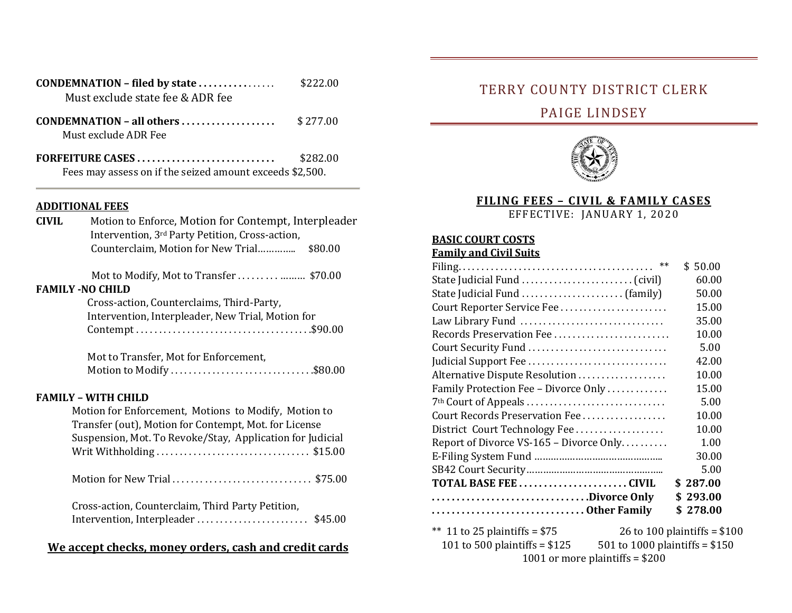| Must exclude state fee & ADR fee                                             | \$222.00 |
|------------------------------------------------------------------------------|----------|
| Must exclude ADR Fee                                                         | \$277.00 |
| FORFEITURE CASES<br>Fees may assess on if the seized amount exceeds \$2,500. | \$282.00 |

#### **ADDITIONAL FEES**

| <b>CIVIL</b> | Motion to Enforce, Motion for Contempt, Interpleader<br>Intervention, 3 <sup>rd</sup> Party Petition, Cross-action, |  |
|--------------|---------------------------------------------------------------------------------------------------------------------|--|
|              | Counterclaim, Motion for New Trial<br>\$80.00                                                                       |  |
|              |                                                                                                                     |  |
|              | <b>FAMILY -NO CHILD</b>                                                                                             |  |
|              | Cross-action, Counterclaims, Third-Party,                                                                           |  |
|              | Intervention, Interpleader, New Trial, Motion for                                                                   |  |
|              |                                                                                                                     |  |
|              | Mot to Transfer, Mot for Enforcement,                                                                               |  |
|              | Motion to Modify\$80.00                                                                                             |  |
|              | <b>FAMILY - WITH CHILD</b>                                                                                          |  |
|              | Motion for Enforcement, Motions to Modify, Motion to                                                                |  |
|              | Transfer (out), Motion for Contempt, Mot. for License                                                               |  |
|              | Suspension, Mot. To Revoke/Stay, Application for Judicial                                                           |  |
|              |                                                                                                                     |  |
|              | Motion for New Trial\$75.00                                                                                         |  |
|              | Cross-action, Counterclaim, Third Party Petition,                                                                   |  |
|              |                                                                                                                     |  |
|              | We accept checks, money orders, cash and credit cards                                                               |  |

## TERRY COUNTY DISTRICT CLERK

# PAIGE LINDSEY



#### **FILING FEES – CIVIL & FAMILY CASES**

EFFECTIVE: JANUARY 1, 2020

#### **BASIC COURT COSTS**

#### **Family and Civil Suits**

|                                         | \$50.00               |
|-----------------------------------------|-----------------------|
|                                         | 60.00                 |
|                                         | 50.00                 |
| Court Reporter Service Fee              | 15.00                 |
| Law Library Fund                        | 35.00                 |
| Records Preservation Fee                | 10.00                 |
| Court Security Fund                     | 5.00                  |
| Judicial Support Fee                    | 42.00                 |
| Alternative Dispute Resolution          | 10.00                 |
| Family Protection Fee – Divorce Only    | 15.00                 |
| 7 <sup>th</sup> Court of Appeals        | 5.00                  |
| Court Records Preservation Fee          | 10.00                 |
| District Court Technology Fee           | 10.00                 |
| Report of Divorce VS-165 – Divorce Only | 1.00                  |
|                                         | 30.00                 |
|                                         | 5.00                  |
| TOTAL BASE FEE CIVIL                    | \$287.00              |
| Divorce Only                            | \$293.00              |
| Other Family                            | \$278.00              |
|                                         | $26.12400 \pm 1.1200$ |

\*\* 11 to 25 plaintiffs =  $$75$  26 to 100 plaintiffs =  $$100$ <br>101 to 500 plaintiffs =  $$125$  501 to 1000 plaintiffs =  $$150$ 

501 to 1000 plaintiffs =  $$150$ 1001 or more plaintiffs = \$200